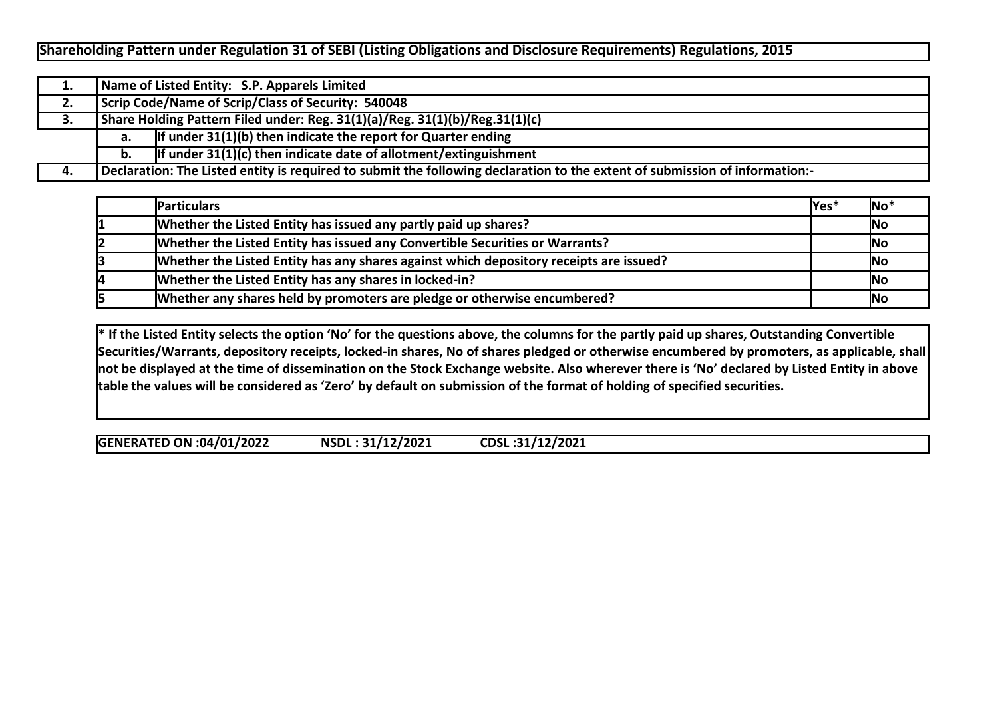## **Shareholding Pattern under Regulation 31 of SEBI (Listing Obligations and Disclosure Requirements) Regulations, 2015**

| 1. |    | Name of Listed Entity: S.P. Apparels Limited                                                                                |  |  |  |  |  |  |  |  |  |  |  |
|----|----|-----------------------------------------------------------------------------------------------------------------------------|--|--|--|--|--|--|--|--|--|--|--|
| 2. |    | Scrip Code/Name of Scrip/Class of Security: 540048                                                                          |  |  |  |  |  |  |  |  |  |  |  |
| 3. |    | Share Holding Pattern Filed under: Reg. 31(1)(a)/Reg. 31(1)(b)/Reg.31(1)(c)                                                 |  |  |  |  |  |  |  |  |  |  |  |
|    | а. | If under $31(1)(b)$ then indicate the report for Quarter ending                                                             |  |  |  |  |  |  |  |  |  |  |  |
|    | b. | If under $31(1)(c)$ then indicate date of allotment/extinguishment                                                          |  |  |  |  |  |  |  |  |  |  |  |
| 4. |    | Declaration: The Listed entity is required to submit the following declaration to the extent of submission of information:- |  |  |  |  |  |  |  |  |  |  |  |

|    | <b>IParticulars</b>                                                                    | lYes <sup>*</sup> | INo' |
|----|----------------------------------------------------------------------------------------|-------------------|------|
|    | Whether the Listed Entity has issued any partly paid up shares?                        |                   | No   |
|    | Whether the Listed Entity has issued any Convertible Securities or Warrants?           |                   | No   |
|    | Whether the Listed Entity has any shares against which depository receipts are issued? |                   | No   |
| 14 | Whether the Listed Entity has any shares in locked-in?                                 |                   | No   |
|    | Whether any shares held by promoters are pledge or otherwise encumbered?               |                   | No   |

**\* If the Listed Entity selects the option 'No' for the questions above, the columns for the partly paid up shares, Outstanding Convertible Securities/Warrants, depository receipts, locked-in shares, No of shares pledged or otherwise encumbered by promoters, as applicable, shall not be displayed at the time of dissemination on the Stock Exchange website. Also wherever there is 'No' declared by Listed Entity in above table the values will be considered as 'Zero' by default on submission of the format of holding of specified securities.**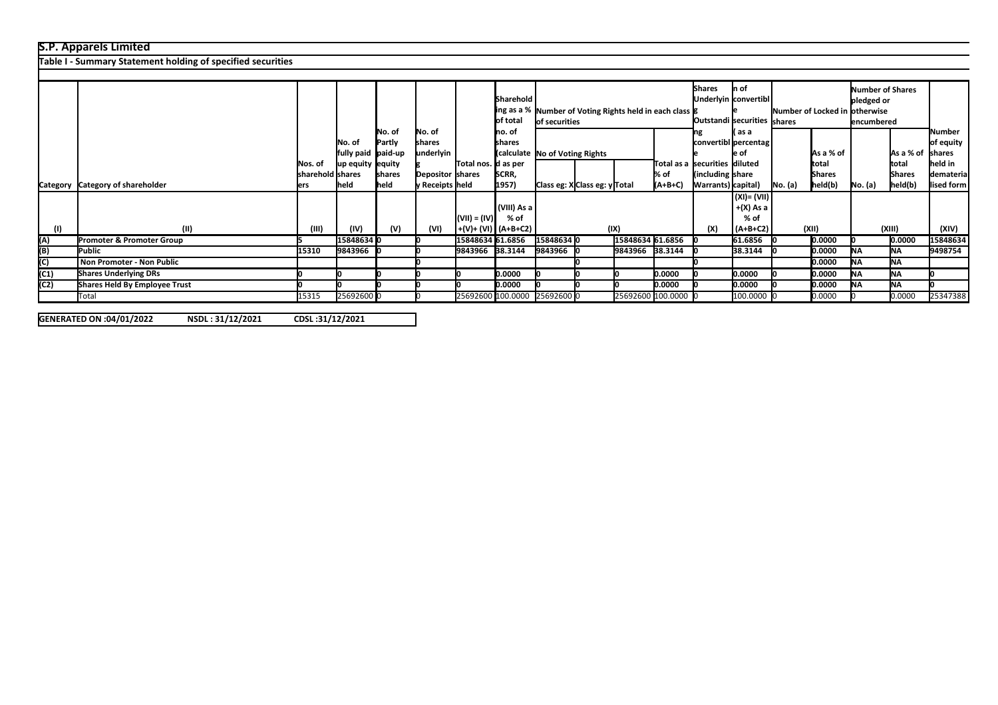## **S.P. Apparels Limited**

**Table I - Summary Statement holding of specified securities**

|      |                                      |                  |                     |        |                  |                              | Sharehold                    |                                                         |                                |                  |                               | <b>Shares</b>               | In of<br>Underlyin convertibl |                                |               | <b>Number of Shares</b> |                         |            |
|------|--------------------------------------|------------------|---------------------|--------|------------------|------------------------------|------------------------------|---------------------------------------------------------|--------------------------------|------------------|-------------------------------|-----------------------------|-------------------------------|--------------------------------|---------------|-------------------------|-------------------------|------------|
|      |                                      |                  |                     |        |                  |                              |                              |                                                         |                                |                  |                               |                             |                               |                                |               | pledged or              |                         |            |
|      |                                      |                  |                     |        |                  |                              |                              | ing as a % Number of Voting Rights held in each class 8 |                                |                  |                               |                             |                               | Number of Locked in lotherwise |               |                         |                         |            |
|      |                                      |                  |                     |        |                  |                              | of total                     | lof securities                                          |                                |                  |                               | Outstandi securities shares |                               |                                | lencumbered   |                         |                         |            |
|      |                                      |                  |                     | No. of | No. of           |                              | Ino. of                      |                                                         |                                |                  |                               |                             | l( as a                       |                                |               |                         |                         | Number     |
|      |                                      |                  | No. of              | Partly | shares           |                              | Ishares                      |                                                         |                                |                  |                               |                             | convertibl percentag l        |                                |               |                         |                         | of equity  |
|      |                                      |                  | fully paid  paid-up |        | underlyin        |                              |                              |                                                         | (calculate No of Voting Rights |                  |                               |                             | le of                         |                                | As a % of     |                         | As a % of shares        |            |
|      |                                      | Nos. of          | up equity equity    |        |                  | Total nos. <b> </b> d as per |                              |                                                         |                                |                  | Total as a securities diluted |                             |                               |                                | ltotal        |                         | <b>Itotal</b>           | lheld in   |
|      |                                      | sharehold shares |                     | shares | Depositor shares |                              | SCRR,                        |                                                         |                                |                  | % of                          | (including share)           |                               |                                | <b>Shares</b> |                         | <b>Shares</b>           | demateria  |
|      | Category Category of shareholder     | lers             | <b>held</b>         | held   | ly Receipts held |                              | 1957)                        | Class eg: XClass eg: y Total                            |                                |                  | (A+B+C)                       | Warrants) capital)          |                               | No. (a)                        | held(b)       | No. (a)                 | $\vert$ held $\vert$ b) | lised form |
|      |                                      |                  |                     |        |                  |                              |                              |                                                         |                                |                  |                               |                             |                               |                                |               |                         |                         |            |
|      |                                      |                  |                     |        |                  |                              |                              |                                                         |                                |                  |                               |                             |                               |                                |               |                         |                         |            |
|      |                                      |                  |                     |        |                  |                              | (VIII) As a                  |                                                         |                                |                  |                               |                             | $+(X)$ As a                   |                                |               |                         |                         |            |
|      |                                      |                  |                     |        |                  | $(VII) = (IV)$               | % of                         |                                                         |                                |                  |                               |                             | $%$ of                        |                                |               |                         |                         |            |
| (1)  | (11)                                 | (III)            | (IV)                | (V)    | (VI)             |                              | +(V)+ (VI)   (A+B+C2)        |                                                         |                                | (IX)             |                               | (X)                         | $(A+B+C2)$                    |                                | (XII)         |                         | (XIII)                  | (XIV)      |
| (A)  | <b>Promoter &amp; Promoter Group</b> |                  | 15848634 0          |        |                  | 15848634 61.6856             |                              | 15848634 0                                              |                                | 15848634 61.6856 |                               |                             | 61.6856                       |                                | 0.0000        |                         | 0.0000                  | 15848634   |
| (B)  | <b>Public</b>                        | 15310            | 9843966             |        |                  | 9843966 38.3144              |                              | 9843966                                                 |                                | 9843966 38.3144  |                               |                             | 38.3144                       |                                | 0.0000        | <b>INA</b>              | <b>INA</b>              | 9498754    |
| (C)  | Non Promoter - Non Public            |                  |                     |        |                  |                              |                              |                                                         |                                |                  |                               |                             |                               |                                | 0.0000        | INA.                    | <b>INA</b>              |            |
| (C1) | <b>Shares Underlying DRs</b>         |                  |                     |        |                  |                              | 0.0000                       |                                                         |                                |                  | 0.0000                        |                             | 0.0000                        |                                | 0.0000        | INA.                    | <b>NA</b>               |            |
| (C2) | Shares Held By Employee Trust        |                  |                     |        |                  |                              | 0.0000                       |                                                         |                                |                  | 0.0000                        |                             | 0.0000                        |                                | 0.0000        | INA.                    | <b>NA</b>               |            |
|      | Total                                | 15315            | 25692600 0          |        |                  |                              | 25692600 100.0000 25692600 0 |                                                         |                                |                  | 25692600 100.0000 0           |                             | 100.0000 (                    |                                | 0.0000        |                         | 0.0000                  | 25347388   |

**% assuming full**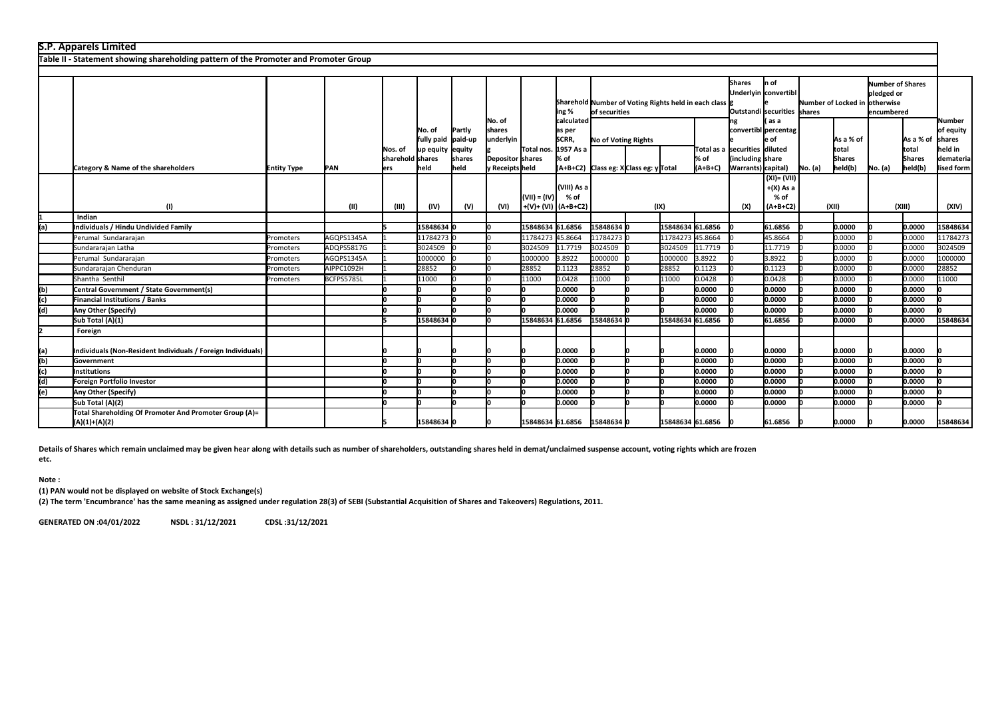|      | <b>S.P. Apparels Limited</b>                                                         |                        |             |                                |                                                   |                  |                                                    |                  |                                                    |                     |                                      |                  |               |                                                     |                                                  |                                                        |                                     |         |                                     |                                                       |  |               |                                                             |  |                               |                                               |  |  |
|------|--------------------------------------------------------------------------------------|------------------------|-------------|--------------------------------|---------------------------------------------------|------------------|----------------------------------------------------|------------------|----------------------------------------------------|---------------------|--------------------------------------|------------------|---------------|-----------------------------------------------------|--------------------------------------------------|--------------------------------------------------------|-------------------------------------|---------|-------------------------------------|-------------------------------------------------------|--|---------------|-------------------------------------------------------------|--|-------------------------------|-----------------------------------------------|--|--|
|      | Table II - Statement showing shareholding pattern of the Promoter and Promoter Group |                        |             |                                |                                                   |                  |                                                    |                  |                                                    |                     |                                      |                  |               |                                                     |                                                  |                                                        |                                     |         |                                     |                                                       |  |               |                                                             |  |                               |                                               |  |  |
|      |                                                                                      |                        |             |                                |                                                   |                  |                                                    |                  |                                                    |                     |                                      |                  |               |                                                     |                                                  |                                                        |                                     |         |                                     |                                                       |  |               |                                                             |  |                               |                                               |  |  |
|      |                                                                                      | ing %<br>of securities |             |                                |                                                   |                  |                                                    |                  |                                                    |                     |                                      |                  |               |                                                     |                                                  | Sharehold Number of Voting Rights held in each class 8 |                                     |         |                                     |                                                       |  | <b>Shares</b> | n of<br>Underlyin convertibl<br>Outstandi securities shares |  | Number of Locked in otherwise | Number of Shares<br>pledged or<br>lencumbered |  |  |
|      |                                                                                      |                        |             | INos. of<br>lsharehold Ishares | INo. of<br>fully paid paid-up<br>up equity equity | Partly<br>shares | No. of<br>lshares<br>underlyin<br>Depositor shares | Total nos.       | calculated<br>as per<br>SCRR,<br>1957 As a<br>% of | No of Voting Rights |                                      |                  | % of          | Total as a ssecurities diiluted<br>including share) | as a<br>convertibl percentag<br>e of             |                                                        | As a % of<br>total<br><b>Shares</b> |         | As a % of<br>total<br><b>Shares</b> | Number<br>of equity<br>shares<br>held in<br>demateria |  |               |                                                             |  |                               |                                               |  |  |
|      | Category & Name of the shareholders<br>(1)                                           | <b>Entity Type</b>     | PAN<br>(II) | ers<br>(III)                   | held<br>(IV)                                      | held<br>(V)      | y Receipts held<br>(VI)                            | $(VII) = (IV)$   | (VIII) As a<br>% of<br>+(V)+ (VI) (A+B+C2)         |                     | (A+B+C2) Class eg: XClass eg: yTotal | (IX)             | $(A+B+C)$     | Warrants) capital)<br>(X)                           | (XI)= (VII)<br>$+(X)$ As a<br>% of<br>$(A+B+C2)$ | No. (a)                                                | held(b)<br>(XII)                    | No. (a) | held(b)<br>(XIII)                   | lised form<br>(XIV)                                   |  |               |                                                             |  |                               |                                               |  |  |
|      | Indian                                                                               |                        |             |                                |                                                   |                  |                                                    |                  |                                                    |                     |                                      |                  |               |                                                     |                                                  |                                                        |                                     |         |                                     |                                                       |  |               |                                                             |  |                               |                                               |  |  |
| l(a) | Individuals / Hindu Undivided Family                                                 |                        |             |                                | 15848634 0                                        |                  |                                                    | 15848634 61.6856 |                                                    | 158486340           |                                      | 15848634 61.6856 |               |                                                     | 61.6856                                          |                                                        | 0.0000                              |         | 0.0000                              | 15848634                                              |  |               |                                                             |  |                               |                                               |  |  |
|      | Perumal Sundararajan                                                                 | Promoters              | AGQPS1345A  |                                | 11784273 0                                        |                  |                                                    | 11784273         | 45.8664                                            | 11784273            |                                      | 11784273 45.8664 |               |                                                     | 45.8664                                          |                                                        | 0.0000                              |         | 0.0000                              | 11784273                                              |  |               |                                                             |  |                               |                                               |  |  |
|      | Sundararajan Latha                                                                   | Promoters              | ADQPS5817G  |                                | 3024509                                           |                  |                                                    | 3024509          | 11.7719                                            | 3024509             |                                      | 3024509          | 11.7719       |                                                     | 11.7719                                          |                                                        | 0.0000                              |         | 0.0000                              | 3024509                                               |  |               |                                                             |  |                               |                                               |  |  |
|      | Perumal Sundararajan                                                                 | Promoters              | AGQPS1345A  |                                | 1000000                                           |                  |                                                    | 1000000          | 3.8922                                             | 1000000             |                                      | 1000000          | 3.8922        |                                                     | 3.8922                                           |                                                        | 0.0000                              |         | 0.0000                              | 1000000                                               |  |               |                                                             |  |                               |                                               |  |  |
|      | Sundararajan Chenduran                                                               | Promoters              | AIPPC1092H  |                                | 28852                                             |                  |                                                    | 28852            | 0.1123                                             | 28852               |                                      | 28852            | 0.1123        |                                                     | 0.1123                                           |                                                        | 0.0000                              |         | 0.0000                              | 28852                                                 |  |               |                                                             |  |                               |                                               |  |  |
|      | Shantha Senthil                                                                      | Promoters              | BCFPS5785L  |                                | 11000                                             |                  |                                                    | 11000            | 0.0428                                             | 11000               |                                      | 11000            | 0.0428        |                                                     | 0.0428                                           |                                                        | 0.0000                              |         | 0.0000                              | 11000                                                 |  |               |                                                             |  |                               |                                               |  |  |
| (b)  | Central Government / State Government(s)                                             |                        |             |                                |                                                   |                  |                                                    |                  | 0.0000                                             |                     |                                      |                  | 0.0000        |                                                     | 0.0000                                           |                                                        | 0.0000                              |         | 0.0000                              |                                                       |  |               |                                                             |  |                               |                                               |  |  |
| (c)  | Financial Institutions / Banks                                                       |                        |             |                                |                                                   |                  |                                                    |                  | 10.0000                                            |                     |                                      |                  | <b>0.0000</b> |                                                     | 0.0000                                           |                                                        | 0.0000                              |         | 0.0000                              |                                                       |  |               |                                                             |  |                               |                                               |  |  |
| (d)  | Any Other (Specify)                                                                  |                        |             |                                |                                                   |                  |                                                    |                  | 0.0000                                             |                     |                                      |                  | 10.0000       |                                                     | 0.0000                                           |                                                        | 0.0000                              |         | 0.0000                              |                                                       |  |               |                                                             |  |                               |                                               |  |  |
|      | Sub Total (A)(1)                                                                     |                        |             |                                | 15848634 0                                        |                  |                                                    | 15848634         | 61.6856                                            | 15848634            |                                      | 15848634 61.6856 |               |                                                     | 61.6856                                          |                                                        | 0.0000                              |         | 0.0000                              | 15848634                                              |  |               |                                                             |  |                               |                                               |  |  |
|      | Foreign                                                                              |                        |             |                                |                                                   |                  |                                                    |                  |                                                    |                     |                                      |                  |               |                                                     |                                                  |                                                        |                                     |         |                                     |                                                       |  |               |                                                             |  |                               |                                               |  |  |
| (a)  | Individuals (Non-Resident Individuals / Foreign Individuals)                         |                        |             |                                |                                                   |                  |                                                    |                  | 0.0000                                             |                     |                                      |                  | 0.0000        |                                                     | 0.0000                                           |                                                        | 10.0000                             |         | 0.0000                              |                                                       |  |               |                                                             |  |                               |                                               |  |  |
| (b)  | Government                                                                           |                        |             |                                |                                                   |                  |                                                    |                  | 0.0000                                             |                     |                                      |                  | 0.0000        |                                                     | 0.0000                                           |                                                        | 0.0000                              |         | 0.0000                              |                                                       |  |               |                                                             |  |                               |                                               |  |  |
| (c)  | Institutions                                                                         |                        |             |                                |                                                   |                  |                                                    |                  | 0.0000                                             |                     |                                      |                  | 10.0000       |                                                     | 10.0000                                          |                                                        | 0.0000                              |         | 0.0000                              |                                                       |  |               |                                                             |  |                               |                                               |  |  |
| (d)  | Foreign Portfolio Investor                                                           |                        |             |                                |                                                   |                  |                                                    |                  | 0.0000                                             |                     |                                      |                  | 0.0000        |                                                     | 0.0000                                           |                                                        | 0.0000                              |         | 0.0000                              |                                                       |  |               |                                                             |  |                               |                                               |  |  |
| (e)  | Any Other (Specify)                                                                  |                        |             |                                |                                                   |                  |                                                    |                  | 0.0000                                             |                     |                                      |                  | 0.0000        |                                                     | 0.0000                                           |                                                        | 0.0000                              |         | 0.0000                              |                                                       |  |               |                                                             |  |                               |                                               |  |  |
|      | Sub Total (A)(2)                                                                     |                        |             |                                |                                                   |                  |                                                    |                  | 0.0000                                             |                     |                                      |                  | 0.0000        |                                                     | 0.0000                                           |                                                        | 0.0000                              |         | 10.0000                             |                                                       |  |               |                                                             |  |                               |                                               |  |  |
|      | Total Shareholding Of Promoter And Promoter Group (A)=<br>(A)(1)+(A)(2)              |                        |             |                                | 15848634 0                                        |                  |                                                    | 15848634 61.6856 |                                                    | 15848634 0          |                                      | 15848634 61.6856 |               |                                                     | 61.6856                                          |                                                        | 10.0000                             |         | 0.0000                              | 15848634                                              |  |               |                                                             |  |                               |                                               |  |  |

**Details of Shares which remain unclaimed may be given hear along with details such as number of shareholders, outstanding shares held in demat/unclaimed suspense account, voting rights which are frozen** 

**etc.**

**Note :**

**(1) PAN would not be displayed on website of Stock Exchange(s)** 

**(2) The term 'Encumbrance' has the same meaning as assigned under regulation 28(3) of SEBI (Substantial Acquisition of Shares and Takeovers) Regulations, 2011.**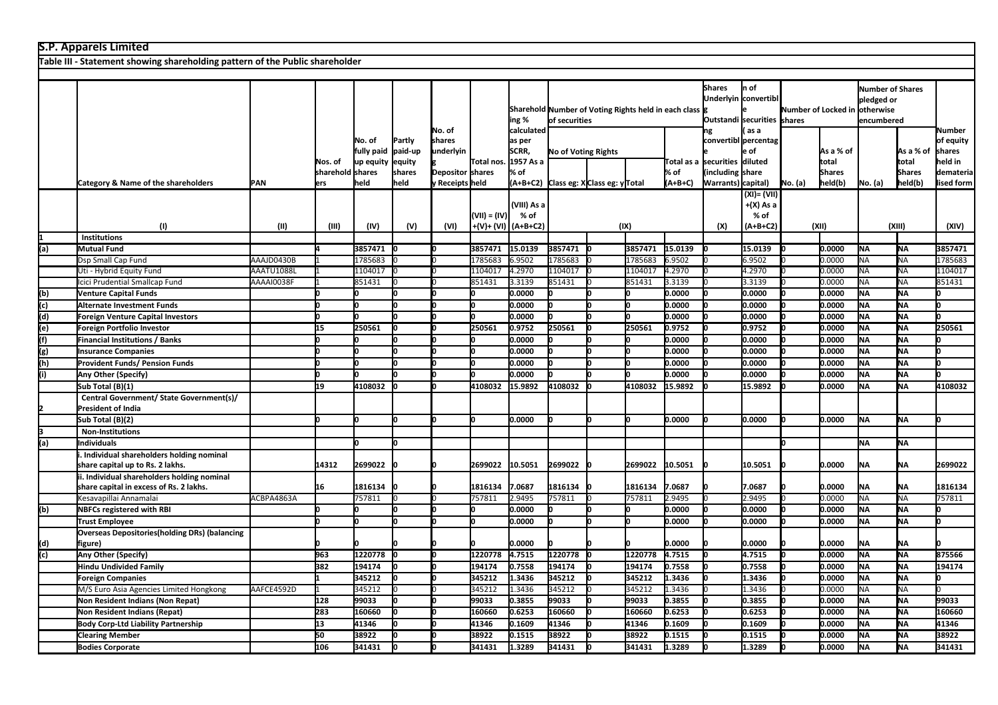|     | <b>S.P. Apparels Limited</b>                                                           |             |                         |                                                                                  |                             |                                     |                |                                            |         |                                              |                              |                   |                                      |                                                     |         |                          |           |                          |                                          |
|-----|----------------------------------------------------------------------------------------|-------------|-------------------------|----------------------------------------------------------------------------------|-----------------------------|-------------------------------------|----------------|--------------------------------------------|---------|----------------------------------------------|------------------------------|-------------------|--------------------------------------|-----------------------------------------------------|---------|--------------------------|-----------|--------------------------|------------------------------------------|
|     | Table III - Statement showing shareholding pattern of the Public shareholder           |             |                         |                                                                                  |                             |                                     |                |                                            |         |                                              |                              |                   |                                      |                                                     |         |                          |           |                          |                                          |
|     |                                                                                        |             |                         |                                                                                  |                             |                                     |                |                                            |         |                                              |                              |                   |                                      |                                                     |         |                          |           |                          |                                          |
|     |                                                                                        |             |                         | Sharehold Number of Voting Rights held in each class g<br>ing %<br>of securities |                             |                                     |                |                                            |         | <b>Shares</b><br>Outstandi securities shares | n of<br>Underlyin convertibl |                   | Number of Locked in otherwise        | <b>Number of Shares</b><br>pledged or<br>encumbered |         |                          |           |                          |                                          |
|     |                                                                                        |             | Nos. of                 | No. of<br>fully paid<br>lup equity                                               | Partly<br>paid-up<br>equity | No. of<br>shares<br>underlyin       | Total nos.     | calculated<br>as per<br>SCRR,<br>1957 As a |         | <b>No of Voting Rights</b>                   |                              |                   | ng<br>Total as a ssecurities diluted | as a<br>convertibl percentag<br>: of                |         | As a % of<br>total       |           | As a % of<br>total       | Number<br>of equity<br>shares<br>held in |
|     | Category & Name of the shareholders                                                    | <b>IPAN</b> | sharehold shares<br>ers | held                                                                             | shares<br>held              | Depositor shares<br>v Receipts held |                | % of                                       |         |                                              |                              | % of<br>$(A+B+C)$ | including<br>Warrants) capital)      | share                                               | No. (a) | <b>Shares</b><br>held(b) | No. (a)   | <b>Shares</b><br>held(b) | demateria<br>lised form                  |
|     | (1)                                                                                    | (II)        | (III)                   | (IV)                                                                             | (V)                         | (VI)                                | $(VII) = (IV)$ | (VIII) As a<br>% of<br>+(V)+ (VI) (A+B+C2) |         | (A+B+C2) Class eg: XClass eg: yTotal         |                              |                   | (X)                                  | (XI) = (VII)<br>+(X) As a<br>% of<br>$(A+B+C2)$     |         | (XII)                    |           | (XIII)                   | (XIV)                                    |
|     | <b>Institutions</b>                                                                    |             |                         |                                                                                  |                             |                                     |                |                                            |         |                                              | (IX)                         |                   |                                      |                                                     |         |                          |           |                          |                                          |
| (a) | Mutual Fund                                                                            |             |                         | 3857471                                                                          |                             |                                     | 3857471        | 15.0139                                    | 3857471 |                                              | 3857471                      | 15.0139           |                                      | 15.0139                                             |         | 0.0000                   | <b>NA</b> | <b>NA</b>                | 3857471                                  |
|     | Dsp Small Cap Fund                                                                     | AAAJD0430B  |                         | 1785683                                                                          |                             |                                     | 1785683        | 6.9502                                     | 1785683 |                                              | 1785683                      | 6.9502            |                                      | 6.9502                                              |         | 0.0000                   | <b>NA</b> | <b>NA</b>                | 1785683                                  |
|     | Uti - Hybrid Equity Fund                                                               | AAATU1088L  |                         | 1104017                                                                          |                             |                                     | 1104017        | 4.2970                                     | 1104017 |                                              | 1104017                      | 4.2970            |                                      | 4.2970                                              |         | 0.0000                   | <b>NA</b> | <b>NA</b>                | 1104017                                  |
|     | Icici Prudential Smallcap Fund                                                         | AAAAI0038F  |                         | 851431                                                                           |                             |                                     | 851431         | 3.3139                                     | 851431  |                                              | 851431                       | 3.3139            |                                      | 3.3139                                              |         | 0.0000                   | <b>NA</b> | <b>NA</b>                | 851431                                   |
| (b) | <b>Venture Capital Funds</b>                                                           |             |                         |                                                                                  |                             |                                     |                | 0.0000                                     |         |                                              |                              | 0.0000            |                                      | 0.0000                                              |         | 0.0000                   | <b>NA</b> | <b>NA</b>                |                                          |
| (c) | Alternate Investment Funds                                                             |             | n                       | ln.                                                                              |                             |                                     |                | 0.0000                                     |         |                                              |                              | 0.0000            |                                      | 0.0000                                              |         | 0.0000                   | <b>NA</b> | NA                       | n                                        |
| (d) | Foreign Venture Capital Investors                                                      |             | 0                       | Iо                                                                               |                             |                                     |                | 0.0000                                     |         | lο                                           |                              | 0.0000            |                                      | 0.0000                                              |         | 0.0000                   | <b>NA</b> | <b>NA</b>                | n                                        |
| (e) | Foreign Portfolio Investor                                                             |             | 15                      | 250561                                                                           |                             |                                     | 250561         | 0.9752                                     | 250561  | lο                                           | 250561                       | 0.9752            |                                      | 0.9752                                              |         | 0.0000                   | <b>NA</b> | <b>NA</b>                | 250561                                   |
| (f) | <b>Financial Institutions / Banks</b>                                                  |             |                         |                                                                                  |                             |                                     |                | 0.0000                                     |         |                                              |                              | 0.0000            |                                      | 0.0000                                              |         | 0.0000                   | <b>NA</b> | <b>NA</b>                |                                          |
| (g) | <b>Insurance Companies</b>                                                             |             |                         |                                                                                  |                             |                                     |                | 0.0000                                     |         |                                              |                              | 0.0000            |                                      | 0.0000                                              |         | 0.0000                   | NA        | <b>NA</b>                |                                          |
| (h) | <b>Provident Funds/ Pension Funds</b>                                                  |             | n                       | lо                                                                               |                             |                                     |                | 0.0000                                     |         |                                              |                              | 0.0000            |                                      | 0.0000                                              |         | 0.0000                   | <b>NA</b> | <b>NA</b>                | n                                        |
| (i) | Any Other (Specify)                                                                    |             | n                       |                                                                                  |                             |                                     |                | 0.0000                                     |         |                                              |                              | 0.0000            |                                      | 0.0000                                              |         | 0.0000                   | <b>NA</b> | <b>NA</b>                | n                                        |
|     | Sub Total (B)(1)                                                                       |             | 19                      | 4108032                                                                          |                             |                                     | 4108032        | 15.9892                                    | 4108032 |                                              | 4108032                      | 15.9892           |                                      | 15.9892                                             |         | 0.0000                   | <b>NA</b> | lna.                     | 4108032                                  |
|     | Central Government/ State Government(s)/                                               |             |                         |                                                                                  |                             |                                     |                |                                            |         |                                              |                              |                   |                                      |                                                     |         |                          |           |                          |                                          |
|     | <b>President of India</b>                                                              |             |                         |                                                                                  |                             |                                     |                |                                            |         |                                              |                              |                   |                                      |                                                     |         |                          |           |                          |                                          |
|     | Sub Total (B)(2)                                                                       |             |                         |                                                                                  |                             |                                     |                | 0.0000                                     |         |                                              |                              | 0.0000            |                                      | 0.0000                                              |         | 0.0000                   | <b>NA</b> | <b>NA</b>                |                                          |
|     | <b>Non-Institutions</b>                                                                |             |                         |                                                                                  |                             |                                     |                |                                            |         |                                              |                              |                   |                                      |                                                     |         |                          |           |                          |                                          |
| (a) | <b>Individuals</b>                                                                     |             |                         | lo.                                                                              |                             |                                     |                |                                            |         |                                              |                              |                   |                                      |                                                     | lo      |                          | <b>NA</b> | NA                       |                                          |
|     | Individual shareholders holding nominal<br>share capital up to Rs. 2 lakhs.            |             | 14312                   | 2699022                                                                          |                             |                                     | 2699022        | 10.5051                                    | 2699022 |                                              | 2699022                      | 10.5051           |                                      | 10.5051                                             |         | 0.0000                   | <b>NA</b> | NA                       | 2699022                                  |
|     | ii. Individual shareholders holding nominal<br>share capital in excess of Rs. 2 lakhs. |             | 16                      | 1816134                                                                          |                             |                                     | 1816134        | 7.0687                                     | 1816134 |                                              | 1816134                      | 7.0687            |                                      | 7.0687                                              |         | 0.0000                   | <b>NA</b> | <b>NA</b>                | 1816134                                  |
|     | Kesavapillai Annamalai                                                                 | ACBPA4863A  |                         | 757811                                                                           |                             |                                     | 757811         | 2.9495                                     | 757811  |                                              | 757811                       | 2.9495            |                                      | 2.9495                                              |         | 0.0000                   | <b>NA</b> | <b>NA</b>                | 757811                                   |
| (b) | <b>NBFCs registered with RBI</b>                                                       |             | O                       | In                                                                               |                             |                                     |                | 0.0000                                     |         |                                              |                              | 0.0000            |                                      | 0.0000                                              |         | 0.0000                   | <b>NA</b> | <b>NA</b>                |                                          |
|     | <b>Trust Employee</b>                                                                  |             |                         | lo.                                                                              |                             |                                     |                | 0.0000                                     | 'n      |                                              |                              | 0.0000            |                                      | 0.0000                                              |         | 0.0000                   | <b>NA</b> | lna.                     | n                                        |
| (d) | <b>Overseas Depositories (holding DRs) (balancing</b><br>figure)                       |             |                         |                                                                                  |                             |                                     |                | 0.0000                                     |         |                                              |                              | 0.0000            |                                      | 0.0000                                              |         | 0.0000                   | <b>NA</b> | NA                       |                                          |
| (c) | Any Other (Specify)                                                                    |             | 963                     | 1220778                                                                          |                             |                                     | 1220778        | 4.7515                                     | 1220778 |                                              | 1220778                      | 4.7515            |                                      | 4.7515                                              |         | 0.0000                   | <b>NA</b> | <b>NA</b>                | 875566                                   |
|     | Hindu Undivided Family                                                                 |             | 382                     | 194174                                                                           |                             |                                     | 194174         | 0.7558                                     | 194174  |                                              | 194174                       | 0.7558            |                                      | 0.7558                                              |         | 0.0000                   | <b>NA</b> | <b>NA</b>                | 194174                                   |
|     | <b>Foreign Companies</b>                                                               |             |                         | 345212                                                                           |                             |                                     | 345212         | 1.3436                                     | 345212  |                                              | 345212                       | 1.3436            |                                      | 1.3436                                              |         | 0.0000                   | <b>NA</b> | <b>NA</b>                | n                                        |
|     | M/S Euro Asia Agencies Limited Hongkong                                                | AAFCE4592D  |                         | 345212                                                                           |                             |                                     | 345212         | 1.3436                                     | 345212  |                                              | 345212                       | 1.3436            |                                      | 1.3436                                              |         | 0.0000                   | <b>NA</b> | <b>NA</b>                |                                          |
|     | Non Resident Indians (Non Repat)                                                       |             | 128                     | 99033                                                                            |                             |                                     | 99033          | 0.3855                                     | 99033   |                                              | 99033                        | 0.3855            |                                      | 0.3855                                              |         | 0.0000                   | <b>NA</b> | <b>NA</b>                | 99033                                    |
|     | Non Resident Indians (Repat)                                                           |             | 283                     | 160660                                                                           |                             |                                     | 160660         | 0.6253                                     | 160660  |                                              | 160660                       | 0.6253            |                                      | 0.6253                                              |         | 0.0000                   | <b>NA</b> | <b>NA</b>                | 160660                                   |
|     | <b>Body Corp-Ltd Liability Partnership</b>                                             |             | 13                      | 41346                                                                            |                             |                                     | 41346          | 0.1609                                     | 41346   |                                              | 41346                        | 0.1609            |                                      | 0.1609                                              |         | 0.0000                   | <b>NA</b> | <b>NA</b>                | 41346                                    |
|     | <b>Clearing Member</b>                                                                 |             | 50                      | 38922                                                                            |                             |                                     | 38922          | 0.1515                                     | 38922   |                                              | 38922                        | 0.1515            |                                      | 0.1515                                              |         | 0.0000                   | <b>NA</b> | <b>NA</b>                | 38922                                    |
|     | <b>Bodies Corporate</b>                                                                |             | 106                     | 341431                                                                           |                             |                                     | 341431         | 1.3289                                     | 341431  |                                              | 341431                       | 1.3289            |                                      | 1.3289                                              |         | 0.0000                   | <b>NA</b> | <b>NA</b>                | 341431                                   |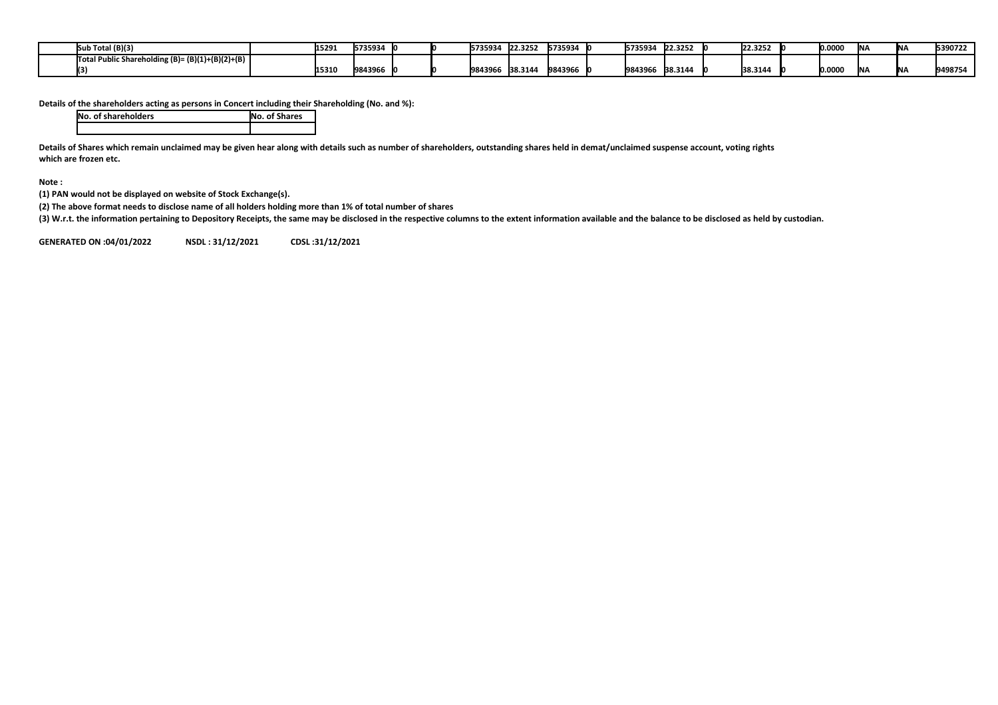| າ Total (B)(3)<br>ISut                           | 1529. | 5735934 |  | 5735934 | 22.3252 | 5735934 | 5735934 | 22.3252 | 22.3252 | 0.0000 | <b>INA</b> | <b>INA</b> | 5390722 |
|--------------------------------------------------|-------|---------|--|---------|---------|---------|---------|---------|---------|--------|------------|------------|---------|
| Total Public Shareholding (B)= (B)(1)+(B)(2)+(B) |       |         |  |         |         |         |         |         |         |        |            |            |         |
|                                                  | 15310 | 9843966 |  | 9843966 | 38.3144 | 9843966 | 9843966 | 38.3144 | 38.3144 | 0.0000 | <b>INA</b> | <b>INA</b> | 9498754 |

**Details of the shareholders acting as persons in Concert including their Shareholding (No. and %):**

| <b>No. of shareholders</b> | <b>No. of Shares</b> |
|----------------------------|----------------------|
|                            |                      |

**Details of Shares which remain unclaimed may be given hear along with details such as number of shareholders, outstanding shares held in demat/unclaimed suspense account, voting rights which are frozen etc.**

**Note :**

**(1) PAN would not be displayed on website of Stock Exchange(s).** 

**(2) The above format needs to disclose name of all holders holding more than 1% of total number of shares**

**(3) W.r.t. the information pertaining to Depository Receipts, the same may be disclosed in the respective columns to the extent information available and the balance to be disclosed as held by custodian.**